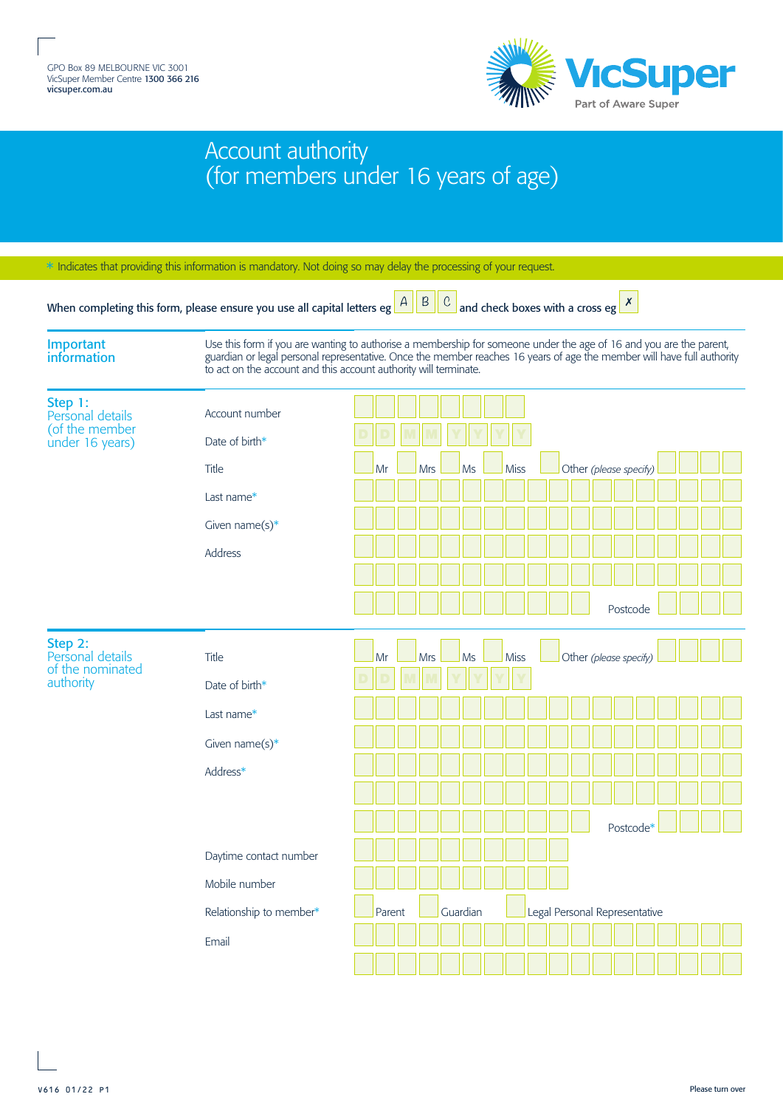

Account authority (for members under 16 years of age)

|                                                                  | When completing this form, please ensure you use all capital letters eg $\boxed{A \parallel B}$                                                                                                                                                                                                                  |        |     | and check boxes with a cross eg $\frac{\mathsf{x}}{\mathsf{x}}$ |    |             |  |                               |           |  |  |  |
|------------------------------------------------------------------|------------------------------------------------------------------------------------------------------------------------------------------------------------------------------------------------------------------------------------------------------------------------------------------------------------------|--------|-----|-----------------------------------------------------------------|----|-------------|--|-------------------------------|-----------|--|--|--|
| Important<br>information                                         | Use this form if you are wanting to authorise a membership for someone under the age of 16 and you are the parent,<br>guardian or legal personal representative. Once the member reaches 16 years of age the member will have full authority<br>to act on the account and this account authority will terminate. |        |     |                                                                 |    |             |  |                               |           |  |  |  |
| Step 1:<br>Personal details<br>(of the member<br>under 16 years) | Account number                                                                                                                                                                                                                                                                                                   |        |     |                                                                 |    |             |  |                               |           |  |  |  |
|                                                                  | Date of birth*                                                                                                                                                                                                                                                                                                   |        |     |                                                                 |    |             |  |                               |           |  |  |  |
|                                                                  | Title                                                                                                                                                                                                                                                                                                            | Mr     | Mrs |                                                                 | Ms | <b>Miss</b> |  | Other (please specify)        |           |  |  |  |
|                                                                  | Last name $*$                                                                                                                                                                                                                                                                                                    |        |     |                                                                 |    |             |  |                               |           |  |  |  |
|                                                                  | Given name $(s)^*$                                                                                                                                                                                                                                                                                               |        |     |                                                                 |    |             |  |                               |           |  |  |  |
|                                                                  | Address                                                                                                                                                                                                                                                                                                          |        |     |                                                                 |    |             |  |                               |           |  |  |  |
|                                                                  |                                                                                                                                                                                                                                                                                                                  |        |     |                                                                 |    |             |  |                               |           |  |  |  |
|                                                                  |                                                                                                                                                                                                                                                                                                                  |        |     |                                                                 |    |             |  |                               | Postcode  |  |  |  |
| Step 2:<br>Personal details<br>of the nominated<br>authority     | Title                                                                                                                                                                                                                                                                                                            | Mr     | Mrs |                                                                 | Ms | Miss        |  | Other (please specify)        |           |  |  |  |
|                                                                  | Date of birth*                                                                                                                                                                                                                                                                                                   |        |     |                                                                 |    |             |  |                               |           |  |  |  |
|                                                                  | Last name $*$                                                                                                                                                                                                                                                                                                    |        |     |                                                                 |    |             |  |                               |           |  |  |  |
|                                                                  | Given name $(s)^*$                                                                                                                                                                                                                                                                                               |        |     |                                                                 |    |             |  |                               |           |  |  |  |
|                                                                  | Address*                                                                                                                                                                                                                                                                                                         |        |     |                                                                 |    |             |  |                               |           |  |  |  |
|                                                                  |                                                                                                                                                                                                                                                                                                                  |        |     |                                                                 |    |             |  |                               |           |  |  |  |
|                                                                  |                                                                                                                                                                                                                                                                                                                  |        |     |                                                                 |    |             |  |                               | Postcode* |  |  |  |
|                                                                  | Daytime contact number                                                                                                                                                                                                                                                                                           |        |     |                                                                 |    |             |  |                               |           |  |  |  |
|                                                                  | Mobile number                                                                                                                                                                                                                                                                                                    |        |     |                                                                 |    |             |  |                               |           |  |  |  |
|                                                                  | Relationship to member*                                                                                                                                                                                                                                                                                          | Parent |     | Guardian                                                        |    |             |  | Legal Personal Representative |           |  |  |  |
|                                                                  |                                                                                                                                                                                                                                                                                                                  |        |     |                                                                 |    |             |  |                               |           |  |  |  |